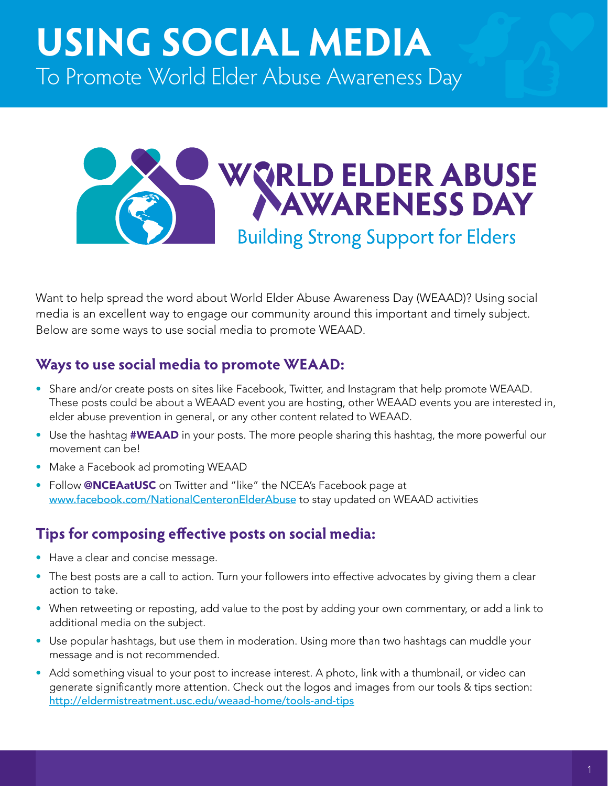# **USING SOCIAL MEDIA** To Promote World Elder Abuse Awareness Day



Want to help spread the word about World Elder Abuse Awareness Day (WEAAD)? Using social media is an excellent way to engage our community around this important and timely subject. Below are some ways to use social media to promote WEAAD.

## **Ways to use social media to promote WEAAD:**

- Share and/or create posts on sites like Facebook, Twitter, and Instagram that help promote WEAAD. These posts could be about a WEAAD event you are hosting, other WEAAD events you are interested in, elder abuse prevention in general, or any other content related to WEAAD.
- Use the hashtag **#WEAAD** in your posts. The more people sharing this hashtag, the more powerful our movement can be!
- Make a Facebook ad promoting WEAAD
- Follow @NCEAatUSC on Twitter and "like" the NCEA's Facebook page at [www.facebook.com/NationalCenteronElderAbuse](http://www.facebook.com/NationalCenteronElderAbuse) to stay updated on WEAAD activities

## **Tips for composing effective posts on social media:**

- Have a clear and concise message.
- The best posts are a call to action. Turn your followers into effective advocates by giving them a clear action to take.
- When retweeting or reposting, add value to the post by adding your own commentary, or add a link to additional media on the subject.
- Use popular hashtags, but use them in moderation. Using more than two hashtags can muddle your message and is not recommended.
- Add something visual to your post to increase interest. A photo, link with a thumbnail, or video can generate significantly more attention. Check out the logos and images from our tools & tips section: <http://eldermistreatment.usc.edu/weaad-home/tools-and-tips>